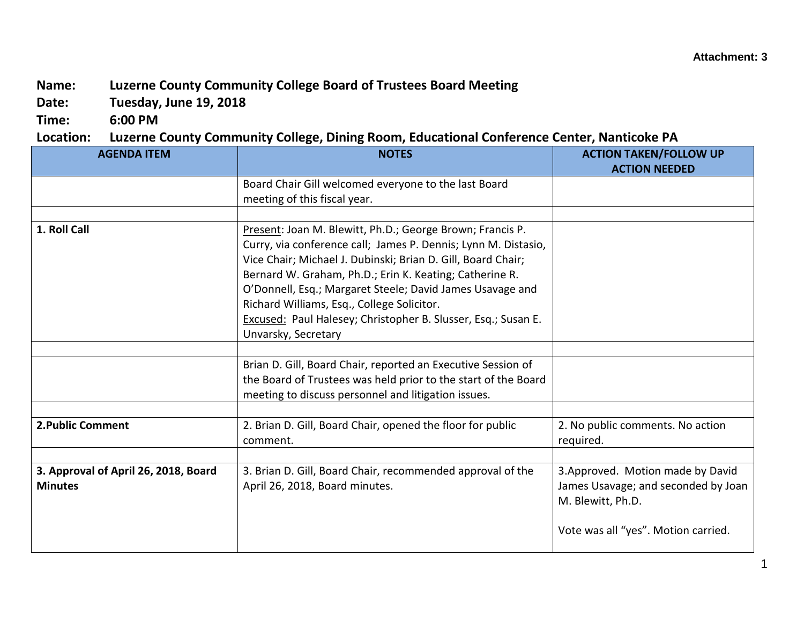## **Name: Luzerne County Community College Board of Trustees Board Meeting**

**Date: Tuesday, June 19, 2018**

**Time: 6:00 PM**

## **Location: Luzerne County Community College, Dining Room, Educational Conference Center, Nanticoke PA**

| <b>AGENDA ITEM</b>                                     | ° - 0<br><b>NOTES</b>                                                                                                                                                                                                                                                                                                                                                                                                                                     | <b>ACTION TAKEN/FOLLOW UP</b><br><b>ACTION NEEDED</b>                                                                                |
|--------------------------------------------------------|-----------------------------------------------------------------------------------------------------------------------------------------------------------------------------------------------------------------------------------------------------------------------------------------------------------------------------------------------------------------------------------------------------------------------------------------------------------|--------------------------------------------------------------------------------------------------------------------------------------|
|                                                        | Board Chair Gill welcomed everyone to the last Board<br>meeting of this fiscal year.                                                                                                                                                                                                                                                                                                                                                                      |                                                                                                                                      |
|                                                        |                                                                                                                                                                                                                                                                                                                                                                                                                                                           |                                                                                                                                      |
| 1. Roll Call                                           | Present: Joan M. Blewitt, Ph.D.; George Brown; Francis P.<br>Curry, via conference call; James P. Dennis; Lynn M. Distasio,<br>Vice Chair; Michael J. Dubinski; Brian D. Gill, Board Chair;<br>Bernard W. Graham, Ph.D.; Erin K. Keating; Catherine R.<br>O'Donnell, Esq.; Margaret Steele; David James Usavage and<br>Richard Williams, Esq., College Solicitor.<br>Excused: Paul Halesey; Christopher B. Slusser, Esq.; Susan E.<br>Unvarsky, Secretary |                                                                                                                                      |
|                                                        |                                                                                                                                                                                                                                                                                                                                                                                                                                                           |                                                                                                                                      |
|                                                        | Brian D. Gill, Board Chair, reported an Executive Session of<br>the Board of Trustees was held prior to the start of the Board<br>meeting to discuss personnel and litigation issues.                                                                                                                                                                                                                                                                     |                                                                                                                                      |
|                                                        |                                                                                                                                                                                                                                                                                                                                                                                                                                                           |                                                                                                                                      |
| <b>2. Public Comment</b>                               | 2. Brian D. Gill, Board Chair, opened the floor for public<br>comment.                                                                                                                                                                                                                                                                                                                                                                                    | 2. No public comments. No action<br>required.                                                                                        |
|                                                        |                                                                                                                                                                                                                                                                                                                                                                                                                                                           |                                                                                                                                      |
| 3. Approval of April 26, 2018, Board<br><b>Minutes</b> | 3. Brian D. Gill, Board Chair, recommended approval of the<br>April 26, 2018, Board minutes.                                                                                                                                                                                                                                                                                                                                                              | 3. Approved. Motion made by David<br>James Usavage; and seconded by Joan<br>M. Blewitt, Ph.D.<br>Vote was all "yes". Motion carried. |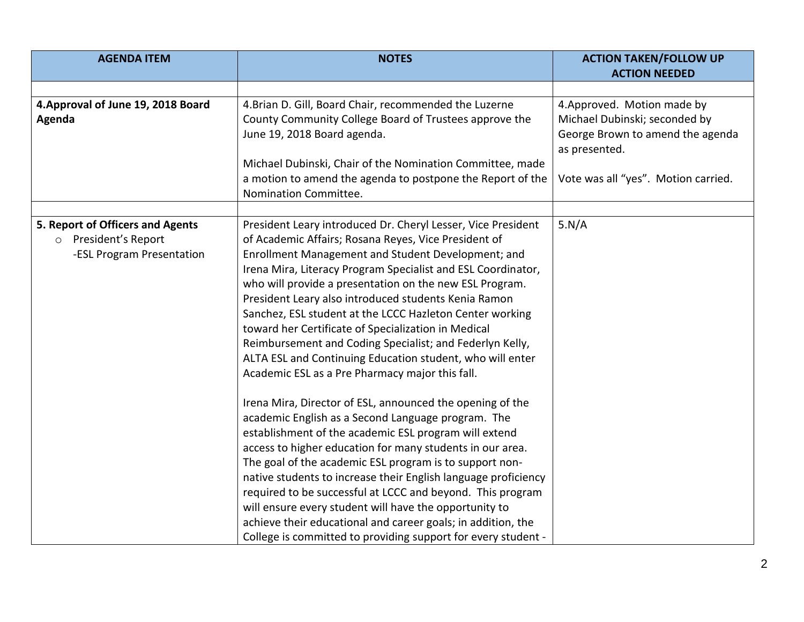| <b>AGENDA ITEM</b>                 | <b>NOTES</b>                                                   | <b>ACTION TAKEN/FOLLOW UP</b>                     |
|------------------------------------|----------------------------------------------------------------|---------------------------------------------------|
|                                    |                                                                | <b>ACTION NEEDED</b>                              |
|                                    |                                                                |                                                   |
| 4. Approval of June 19, 2018 Board | 4. Brian D. Gill, Board Chair, recommended the Luzerne         | 4. Approved. Motion made by                       |
| Agenda                             | County Community College Board of Trustees approve the         | Michael Dubinski; seconded by                     |
|                                    | June 19, 2018 Board agenda.                                    | George Brown to amend the agenda<br>as presented. |
|                                    | Michael Dubinski, Chair of the Nomination Committee, made      |                                                   |
|                                    | a motion to amend the agenda to postpone the Report of the     | Vote was all "yes". Motion carried.               |
|                                    | Nomination Committee.                                          |                                                   |
|                                    |                                                                |                                                   |
| 5. Report of Officers and Agents   | President Leary introduced Dr. Cheryl Lesser, Vice President   | 5.N/A                                             |
| o President's Report               | of Academic Affairs; Rosana Reyes, Vice President of           |                                                   |
| -ESL Program Presentation          | Enrollment Management and Student Development; and             |                                                   |
|                                    | Irena Mira, Literacy Program Specialist and ESL Coordinator,   |                                                   |
|                                    | who will provide a presentation on the new ESL Program.        |                                                   |
|                                    | President Leary also introduced students Kenia Ramon           |                                                   |
|                                    | Sanchez, ESL student at the LCCC Hazleton Center working       |                                                   |
|                                    | toward her Certificate of Specialization in Medical            |                                                   |
|                                    | Reimbursement and Coding Specialist; and Federlyn Kelly,       |                                                   |
|                                    | ALTA ESL and Continuing Education student, who will enter      |                                                   |
|                                    | Academic ESL as a Pre Pharmacy major this fall.                |                                                   |
|                                    | Irena Mira, Director of ESL, announced the opening of the      |                                                   |
|                                    | academic English as a Second Language program. The             |                                                   |
|                                    | establishment of the academic ESL program will extend          |                                                   |
|                                    | access to higher education for many students in our area.      |                                                   |
|                                    | The goal of the academic ESL program is to support non-        |                                                   |
|                                    | native students to increase their English language proficiency |                                                   |
|                                    | required to be successful at LCCC and beyond. This program     |                                                   |
|                                    | will ensure every student will have the opportunity to         |                                                   |
|                                    | achieve their educational and career goals; in addition, the   |                                                   |
|                                    | College is committed to providing support for every student -  |                                                   |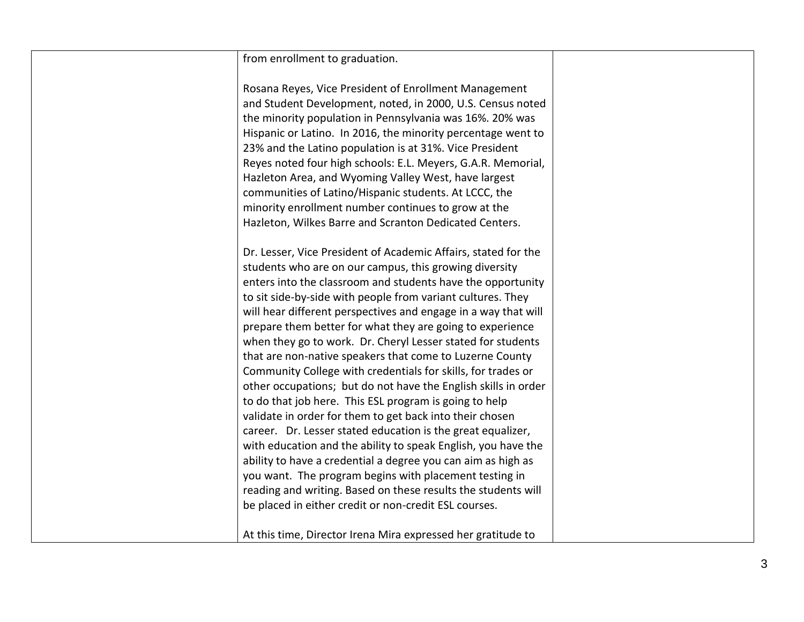| from enrollment to graduation.                                                                                                                                                                                                                                                                                                                                                                                                                                                                                                                                                                                                                                                                               |  |
|--------------------------------------------------------------------------------------------------------------------------------------------------------------------------------------------------------------------------------------------------------------------------------------------------------------------------------------------------------------------------------------------------------------------------------------------------------------------------------------------------------------------------------------------------------------------------------------------------------------------------------------------------------------------------------------------------------------|--|
| Rosana Reyes, Vice President of Enrollment Management<br>and Student Development, noted, in 2000, U.S. Census noted<br>the minority population in Pennsylvania was 16%. 20% was<br>Hispanic or Latino. In 2016, the minority percentage went to<br>23% and the Latino population is at 31%. Vice President<br>Reyes noted four high schools: E.L. Meyers, G.A.R. Memorial,<br>Hazleton Area, and Wyoming Valley West, have largest<br>communities of Latino/Hispanic students. At LCCC, the                                                                                                                                                                                                                  |  |
| minority enrollment number continues to grow at the                                                                                                                                                                                                                                                                                                                                                                                                                                                                                                                                                                                                                                                          |  |
| Hazleton, Wilkes Barre and Scranton Dedicated Centers.                                                                                                                                                                                                                                                                                                                                                                                                                                                                                                                                                                                                                                                       |  |
| Dr. Lesser, Vice President of Academic Affairs, stated for the<br>students who are on our campus, this growing diversity<br>enters into the classroom and students have the opportunity<br>to sit side-by-side with people from variant cultures. They<br>will hear different perspectives and engage in a way that will<br>prepare them better for what they are going to experience<br>when they go to work. Dr. Cheryl Lesser stated for students<br>that are non-native speakers that come to Luzerne County<br>Community College with credentials for skills, for trades or<br>other occupations; but do not have the English skills in order<br>to do that job here. This ESL program is going to help |  |
| validate in order for them to get back into their chosen<br>career. Dr. Lesser stated education is the great equalizer,<br>with education and the ability to speak English, you have the<br>ability to have a credential a degree you can aim as high as<br>you want. The program begins with placement testing in<br>reading and writing. Based on these results the students will                                                                                                                                                                                                                                                                                                                          |  |
| be placed in either credit or non-credit ESL courses.<br>At this time, Director Irena Mira expressed her gratitude to                                                                                                                                                                                                                                                                                                                                                                                                                                                                                                                                                                                        |  |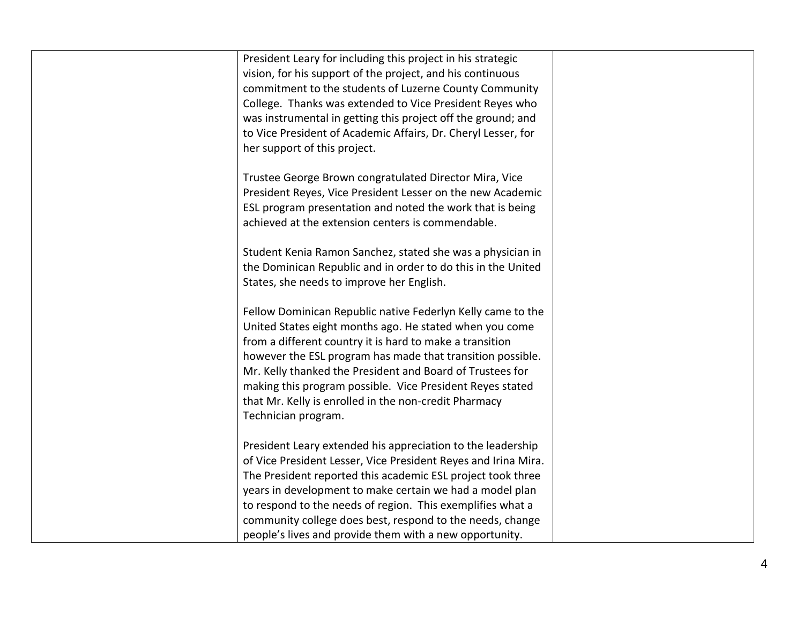| President Leary for including this project in his strategic    |  |
|----------------------------------------------------------------|--|
| vision, for his support of the project, and his continuous     |  |
| commitment to the students of Luzerne County Community         |  |
| College. Thanks was extended to Vice President Reyes who       |  |
| was instrumental in getting this project off the ground; and   |  |
| to Vice President of Academic Affairs, Dr. Cheryl Lesser, for  |  |
| her support of this project.                                   |  |
|                                                                |  |
| Trustee George Brown congratulated Director Mira, Vice         |  |
| President Reyes, Vice President Lesser on the new Academic     |  |
| ESL program presentation and noted the work that is being      |  |
| achieved at the extension centers is commendable.              |  |
|                                                                |  |
| Student Kenia Ramon Sanchez, stated she was a physician in     |  |
| the Dominican Republic and in order to do this in the United   |  |
| States, she needs to improve her English.                      |  |
|                                                                |  |
| Fellow Dominican Republic native Federlyn Kelly came to the    |  |
| United States eight months ago. He stated when you come        |  |
| from a different country it is hard to make a transition       |  |
| however the ESL program has made that transition possible.     |  |
| Mr. Kelly thanked the President and Board of Trustees for      |  |
| making this program possible. Vice President Reyes stated      |  |
| that Mr. Kelly is enrolled in the non-credit Pharmacy          |  |
| Technician program.                                            |  |
|                                                                |  |
| President Leary extended his appreciation to the leadership    |  |
| of Vice President Lesser, Vice President Reyes and Irina Mira. |  |
| The President reported this academic ESL project took three    |  |
| years in development to make certain we had a model plan       |  |
| to respond to the needs of region. This exemplifies what a     |  |
| community college does best, respond to the needs, change      |  |
| people's lives and provide them with a new opportunity.        |  |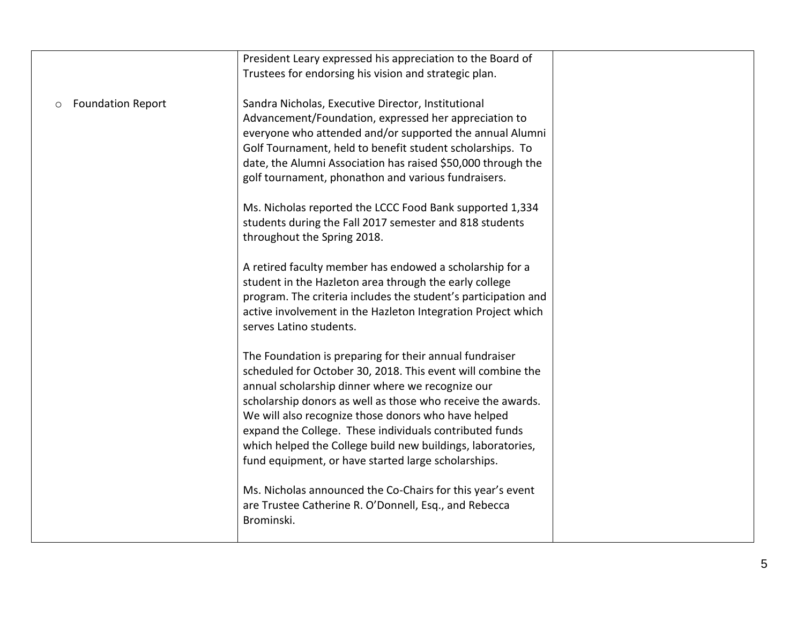|                               | President Leary expressed his appreciation to the Board of     |  |
|-------------------------------|----------------------------------------------------------------|--|
|                               | Trustees for endorsing his vision and strategic plan.          |  |
|                               |                                                                |  |
| <b>Foundation Report</b><br>O | Sandra Nicholas, Executive Director, Institutional             |  |
|                               | Advancement/Foundation, expressed her appreciation to          |  |
|                               | everyone who attended and/or supported the annual Alumni       |  |
|                               | Golf Tournament, held to benefit student scholarships. To      |  |
|                               | date, the Alumni Association has raised \$50,000 through the   |  |
|                               | golf tournament, phonathon and various fundraisers.            |  |
|                               |                                                                |  |
|                               | Ms. Nicholas reported the LCCC Food Bank supported 1,334       |  |
|                               | students during the Fall 2017 semester and 818 students        |  |
|                               | throughout the Spring 2018.                                    |  |
|                               |                                                                |  |
|                               | A retired faculty member has endowed a scholarship for a       |  |
|                               | student in the Hazleton area through the early college         |  |
|                               | program. The criteria includes the student's participation and |  |
|                               | active involvement in the Hazleton Integration Project which   |  |
|                               | serves Latino students.                                        |  |
|                               |                                                                |  |
|                               | The Foundation is preparing for their annual fundraiser        |  |
|                               | scheduled for October 30, 2018. This event will combine the    |  |
|                               | annual scholarship dinner where we recognize our               |  |
|                               | scholarship donors as well as those who receive the awards.    |  |
|                               | We will also recognize those donors who have helped            |  |
|                               | expand the College. These individuals contributed funds        |  |
|                               | which helped the College build new buildings, laboratories,    |  |
|                               | fund equipment, or have started large scholarships.            |  |
|                               |                                                                |  |
|                               | Ms. Nicholas announced the Co-Chairs for this year's event     |  |
|                               | are Trustee Catherine R. O'Donnell, Esq., and Rebecca          |  |
|                               | Brominski.                                                     |  |
|                               |                                                                |  |
|                               |                                                                |  |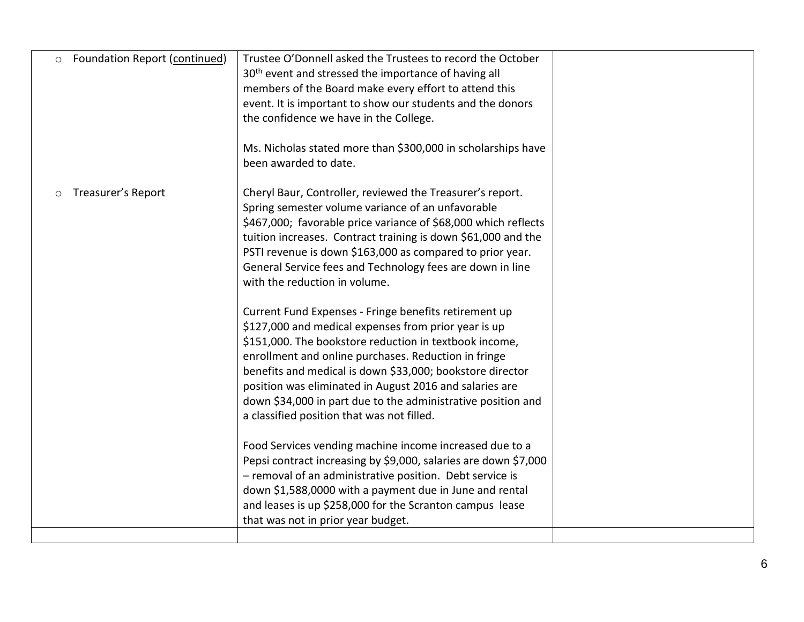| <b>Foundation Report (continued)</b><br>$\circ$ | Trustee O'Donnell asked the Trustees to record the October<br>30 <sup>th</sup> event and stressed the importance of having all<br>members of the Board make every effort to attend this<br>event. It is important to show our students and the donors<br>the confidence we have in the College.<br>Ms. Nicholas stated more than \$300,000 in scholarships have<br>been awarded to date.                                                                                                                                                                                                                                                                                                                                                                                                                                                                                                                                                                                                                                                                                                                                                                                                                                                     |  |
|-------------------------------------------------|----------------------------------------------------------------------------------------------------------------------------------------------------------------------------------------------------------------------------------------------------------------------------------------------------------------------------------------------------------------------------------------------------------------------------------------------------------------------------------------------------------------------------------------------------------------------------------------------------------------------------------------------------------------------------------------------------------------------------------------------------------------------------------------------------------------------------------------------------------------------------------------------------------------------------------------------------------------------------------------------------------------------------------------------------------------------------------------------------------------------------------------------------------------------------------------------------------------------------------------------|--|
| Treasurer's Report<br>$\circ$                   | Cheryl Baur, Controller, reviewed the Treasurer's report.<br>Spring semester volume variance of an unfavorable<br>\$467,000; favorable price variance of \$68,000 which reflects<br>tuition increases. Contract training is down \$61,000 and the<br>PSTI revenue is down \$163,000 as compared to prior year.<br>General Service fees and Technology fees are down in line<br>with the reduction in volume.<br>Current Fund Expenses - Fringe benefits retirement up<br>\$127,000 and medical expenses from prior year is up<br>\$151,000. The bookstore reduction in textbook income,<br>enrollment and online purchases. Reduction in fringe<br>benefits and medical is down \$33,000; bookstore director<br>position was eliminated in August 2016 and salaries are<br>down \$34,000 in part due to the administrative position and<br>a classified position that was not filled.<br>Food Services vending machine income increased due to a<br>Pepsi contract increasing by \$9,000, salaries are down \$7,000<br>- removal of an administrative position. Debt service is<br>down \$1,588,0000 with a payment due in June and rental<br>and leases is up \$258,000 for the Scranton campus lease<br>that was not in prior year budget. |  |
|                                                 |                                                                                                                                                                                                                                                                                                                                                                                                                                                                                                                                                                                                                                                                                                                                                                                                                                                                                                                                                                                                                                                                                                                                                                                                                                              |  |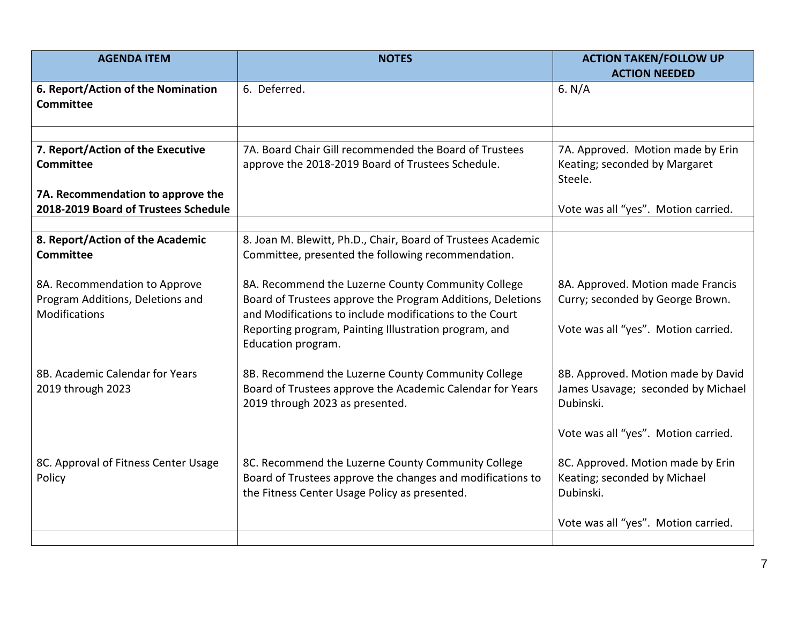| <b>AGENDA ITEM</b>                                                                 | <b>NOTES</b>                                                                                                                                                                                                                                               | <b>ACTION TAKEN/FOLLOW UP</b><br><b>ACTION NEEDED</b>                                                        |
|------------------------------------------------------------------------------------|------------------------------------------------------------------------------------------------------------------------------------------------------------------------------------------------------------------------------------------------------------|--------------------------------------------------------------------------------------------------------------|
| 6. Report/Action of the Nomination<br><b>Committee</b>                             | 6. Deferred.                                                                                                                                                                                                                                               | 6. $N/A$                                                                                                     |
|                                                                                    |                                                                                                                                                                                                                                                            |                                                                                                              |
| 7. Report/Action of the Executive<br>Committee                                     | 7A. Board Chair Gill recommended the Board of Trustees<br>approve the 2018-2019 Board of Trustees Schedule.                                                                                                                                                | 7A. Approved. Motion made by Erin<br>Keating; seconded by Margaret<br>Steele.                                |
| 7A. Recommendation to approve the<br>2018-2019 Board of Trustees Schedule          |                                                                                                                                                                                                                                                            | Vote was all "yes". Motion carried.                                                                          |
|                                                                                    |                                                                                                                                                                                                                                                            |                                                                                                              |
| 8. Report/Action of the Academic<br><b>Committee</b>                               | 8. Joan M. Blewitt, Ph.D., Chair, Board of Trustees Academic<br>Committee, presented the following recommendation.                                                                                                                                         |                                                                                                              |
| 8A. Recommendation to Approve<br>Program Additions, Deletions and<br>Modifications | 8A. Recommend the Luzerne County Community College<br>Board of Trustees approve the Program Additions, Deletions<br>and Modifications to include modifications to the Court<br>Reporting program, Painting Illustration program, and<br>Education program. | 8A. Approved. Motion made Francis<br>Curry; seconded by George Brown.<br>Vote was all "yes". Motion carried. |
| 8B. Academic Calendar for Years<br>2019 through 2023                               | 8B. Recommend the Luzerne County Community College<br>Board of Trustees approve the Academic Calendar for Years<br>2019 through 2023 as presented.                                                                                                         | 8B. Approved. Motion made by David<br>James Usavage; seconded by Michael<br>Dubinski.                        |
|                                                                                    |                                                                                                                                                                                                                                                            | Vote was all "yes". Motion carried.                                                                          |
| 8C. Approval of Fitness Center Usage<br>Policy                                     | 8C. Recommend the Luzerne County Community College<br>Board of Trustees approve the changes and modifications to<br>the Fitness Center Usage Policy as presented.                                                                                          | 8C. Approved. Motion made by Erin<br>Keating; seconded by Michael<br>Dubinski.                               |
|                                                                                    |                                                                                                                                                                                                                                                            | Vote was all "yes". Motion carried.                                                                          |
|                                                                                    |                                                                                                                                                                                                                                                            |                                                                                                              |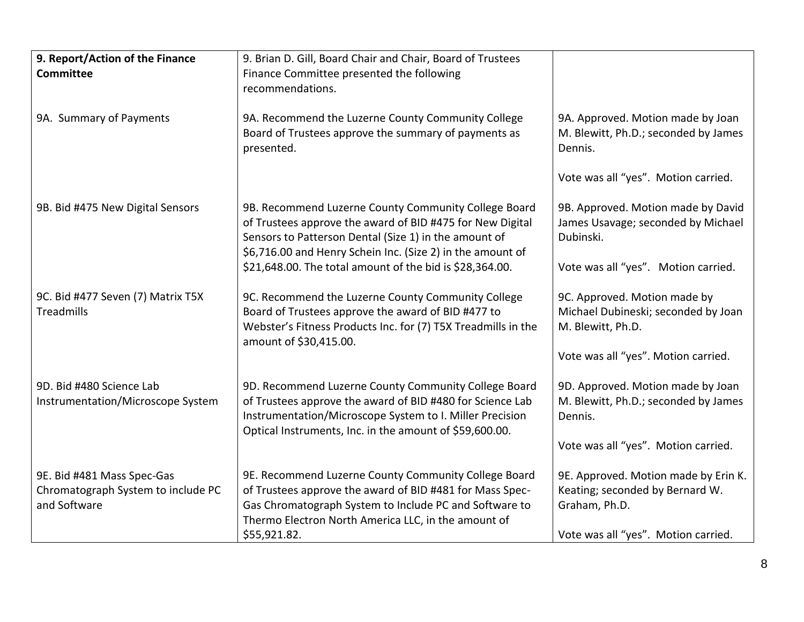| 9. Report/Action of the Finance                                                  | 9. Brian D. Gill, Board Chair and Chair, Board of Trustees                                                                                                                                                                               |                                                                                          |
|----------------------------------------------------------------------------------|------------------------------------------------------------------------------------------------------------------------------------------------------------------------------------------------------------------------------------------|------------------------------------------------------------------------------------------|
| <b>Committee</b>                                                                 | Finance Committee presented the following                                                                                                                                                                                                |                                                                                          |
|                                                                                  | recommendations.                                                                                                                                                                                                                         |                                                                                          |
|                                                                                  |                                                                                                                                                                                                                                          |                                                                                          |
| 9A. Summary of Payments                                                          | 9A. Recommend the Luzerne County Community College<br>Board of Trustees approve the summary of payments as<br>presented.                                                                                                                 | 9A. Approved. Motion made by Joan<br>M. Blewitt, Ph.D.; seconded by James<br>Dennis.     |
|                                                                                  |                                                                                                                                                                                                                                          | Vote was all "yes". Motion carried.                                                      |
| 9B. Bid #475 New Digital Sensors                                                 | 9B. Recommend Luzerne County Community College Board<br>of Trustees approve the award of BID #475 for New Digital<br>Sensors to Patterson Dental (Size 1) in the amount of<br>\$6,716.00 and Henry Schein Inc. (Size 2) in the amount of | 9B. Approved. Motion made by David<br>James Usavage; seconded by Michael<br>Dubinski.    |
|                                                                                  | \$21,648.00. The total amount of the bid is \$28,364.00.                                                                                                                                                                                 | Vote was all "yes". Motion carried.                                                      |
| 9C. Bid #477 Seven (7) Matrix T5X<br>Treadmills                                  | 9C. Recommend the Luzerne County Community College<br>Board of Trustees approve the award of BID #477 to<br>Webster's Fitness Products Inc. for (7) T5X Treadmills in the<br>amount of \$30,415.00.                                      | 9C. Approved. Motion made by<br>Michael Dubineski; seconded by Joan<br>M. Blewitt, Ph.D. |
|                                                                                  |                                                                                                                                                                                                                                          | Vote was all "yes". Motion carried.                                                      |
| 9D. Bid #480 Science Lab<br>Instrumentation/Microscope System                    | 9D. Recommend Luzerne County Community College Board<br>of Trustees approve the award of BID #480 for Science Lab<br>Instrumentation/Microscope System to I. Miller Precision<br>Optical Instruments, Inc. in the amount of \$59,600.00. | 9D. Approved. Motion made by Joan<br>M. Blewitt, Ph.D.; seconded by James<br>Dennis.     |
|                                                                                  |                                                                                                                                                                                                                                          | Vote was all "yes". Motion carried.                                                      |
| 9E. Bid #481 Mass Spec-Gas<br>Chromatograph System to include PC<br>and Software | 9E. Recommend Luzerne County Community College Board<br>of Trustees approve the award of BID #481 for Mass Spec-<br>Gas Chromatograph System to Include PC and Software to<br>Thermo Electron North America LLC, in the amount of        | 9E. Approved. Motion made by Erin K.<br>Keating; seconded by Bernard W.<br>Graham, Ph.D. |
|                                                                                  | \$55,921.82.                                                                                                                                                                                                                             | Vote was all "yes". Motion carried.                                                      |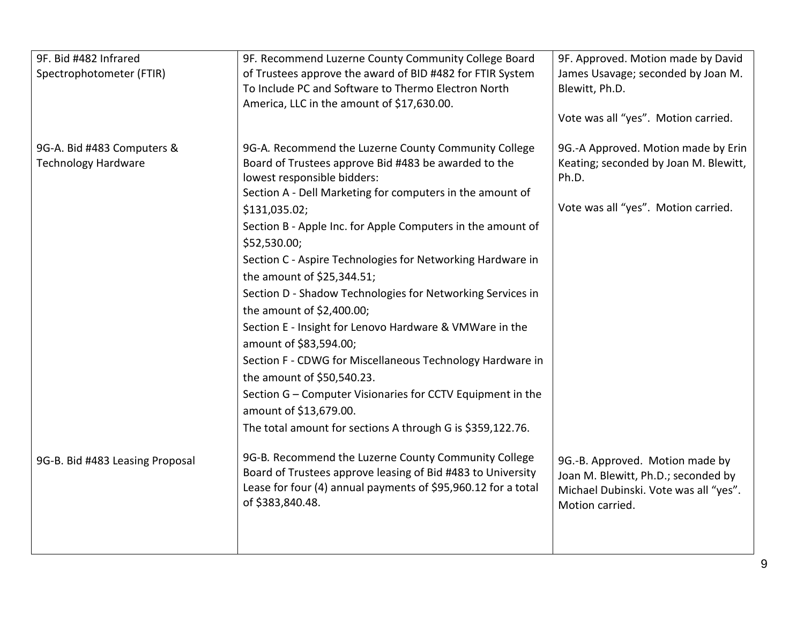| 9F. Bid #482 Infrared           | 9F. Recommend Luzerne County Community College Board                                                                                                                                 | 9F. Approved. Motion made by David                                                                              |
|---------------------------------|--------------------------------------------------------------------------------------------------------------------------------------------------------------------------------------|-----------------------------------------------------------------------------------------------------------------|
| Spectrophotometer (FTIR)        | of Trustees approve the award of BID #482 for FTIR System<br>To Include PC and Software to Thermo Electron North<br>America, LLC in the amount of \$17,630.00.                       | James Usavage; seconded by Joan M.<br>Blewitt, Ph.D.                                                            |
|                                 |                                                                                                                                                                                      | Vote was all "yes". Motion carried.                                                                             |
| 9G-A. Bid #483 Computers &      | 9G-A. Recommend the Luzerne County Community College                                                                                                                                 | 9G.-A Approved. Motion made by Erin                                                                             |
| <b>Technology Hardware</b>      | Board of Trustees approve Bid #483 be awarded to the<br>lowest responsible bidders:                                                                                                  | Keating; seconded by Joan M. Blewitt,<br>Ph.D.                                                                  |
|                                 | Section A - Dell Marketing for computers in the amount of                                                                                                                            |                                                                                                                 |
|                                 | \$131,035.02;                                                                                                                                                                        | Vote was all "yes". Motion carried.                                                                             |
|                                 | Section B - Apple Inc. for Apple Computers in the amount of                                                                                                                          |                                                                                                                 |
|                                 | \$52,530.00;                                                                                                                                                                         |                                                                                                                 |
|                                 | Section C - Aspire Technologies for Networking Hardware in                                                                                                                           |                                                                                                                 |
|                                 | the amount of \$25,344.51;                                                                                                                                                           |                                                                                                                 |
|                                 | Section D - Shadow Technologies for Networking Services in                                                                                                                           |                                                                                                                 |
|                                 | the amount of \$2,400.00;                                                                                                                                                            |                                                                                                                 |
|                                 | Section E - Insight for Lenovo Hardware & VMWare in the                                                                                                                              |                                                                                                                 |
|                                 | amount of \$83,594.00;                                                                                                                                                               |                                                                                                                 |
|                                 | Section F - CDWG for Miscellaneous Technology Hardware in                                                                                                                            |                                                                                                                 |
|                                 | the amount of \$50,540.23.                                                                                                                                                           |                                                                                                                 |
|                                 | Section G - Computer Visionaries for CCTV Equipment in the                                                                                                                           |                                                                                                                 |
|                                 | amount of \$13,679.00.                                                                                                                                                               |                                                                                                                 |
|                                 | The total amount for sections A through G is \$359,122.76.                                                                                                                           |                                                                                                                 |
| 9G-B. Bid #483 Leasing Proposal | 9G-B. Recommend the Luzerne County Community College<br>Board of Trustees approve leasing of Bid #483 to University<br>Lease for four (4) annual payments of \$95,960.12 for a total | 9G.-B. Approved. Motion made by<br>Joan M. Blewitt, Ph.D.; seconded by<br>Michael Dubinski. Vote was all "yes". |
|                                 | of \$383,840.48.                                                                                                                                                                     | Motion carried.                                                                                                 |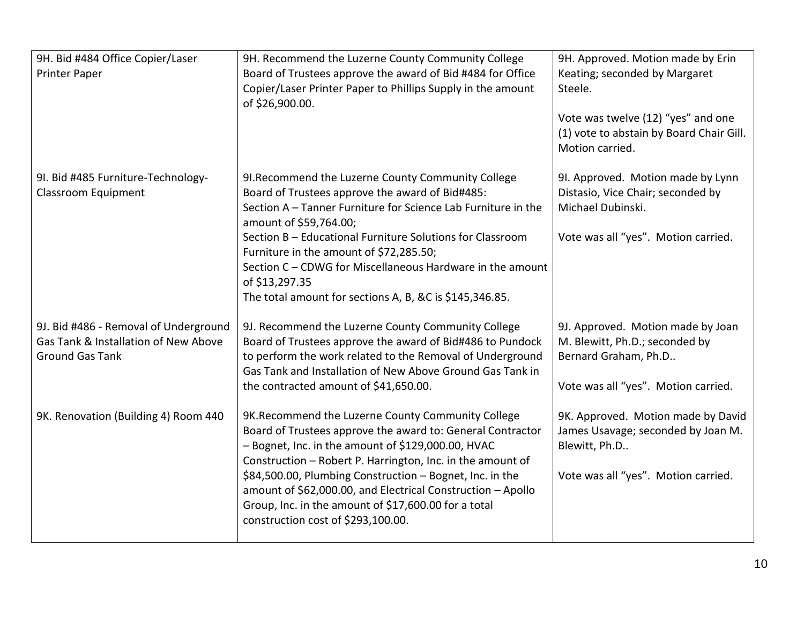| 9H. Bid #484 Office Copier/Laser<br><b>Printer Paper</b>                                                | 9H. Recommend the Luzerne County Community College<br>Board of Trustees approve the award of Bid #484 for Office<br>Copier/Laser Printer Paper to Phillips Supply in the amount<br>of \$26,900.00.                                                                                                                                                                                                                                                            | 9H. Approved. Motion made by Erin<br>Keating; seconded by Margaret<br>Steele.<br>Vote was twelve (12) "yes" and one<br>(1) vote to abstain by Board Chair Gill.<br>Motion carried. |
|---------------------------------------------------------------------------------------------------------|---------------------------------------------------------------------------------------------------------------------------------------------------------------------------------------------------------------------------------------------------------------------------------------------------------------------------------------------------------------------------------------------------------------------------------------------------------------|------------------------------------------------------------------------------------------------------------------------------------------------------------------------------------|
| 9I. Bid #485 Furniture-Technology-<br>Classroom Equipment                                               | 9I. Recommend the Luzerne County Community College<br>Board of Trustees approve the award of Bid#485:<br>Section A - Tanner Furniture for Science Lab Furniture in the<br>amount of \$59,764.00;<br>Section B - Educational Furniture Solutions for Classroom<br>Furniture in the amount of \$72,285.50;<br>Section C - CDWG for Miscellaneous Hardware in the amount<br>of \$13,297.35<br>The total amount for sections A, B, &C is \$145,346.85.            | 9I. Approved. Motion made by Lynn<br>Distasio, Vice Chair; seconded by<br>Michael Dubinski.<br>Vote was all "yes". Motion carried.                                                 |
| 9J. Bid #486 - Removal of Underground<br>Gas Tank & Installation of New Above<br><b>Ground Gas Tank</b> | 9J. Recommend the Luzerne County Community College<br>Board of Trustees approve the award of Bid#486 to Pundock<br>to perform the work related to the Removal of Underground<br>Gas Tank and Installation of New Above Ground Gas Tank in<br>the contracted amount of \$41,650.00.                                                                                                                                                                            | 9J. Approved. Motion made by Joan<br>M. Blewitt, Ph.D.; seconded by<br>Bernard Graham, Ph.D<br>Vote was all "yes". Motion carried.                                                 |
| 9K. Renovation (Building 4) Room 440                                                                    | 9K. Recommend the Luzerne County Community College<br>Board of Trustees approve the award to: General Contractor<br>- Bognet, Inc. in the amount of \$129,000.00, HVAC<br>Construction - Robert P. Harrington, Inc. in the amount of<br>\$84,500.00, Plumbing Construction - Bognet, Inc. in the<br>amount of \$62,000.00, and Electrical Construction - Apollo<br>Group, Inc. in the amount of \$17,600.00 for a total<br>construction cost of \$293,100.00. | 9K. Approved. Motion made by David<br>James Usavage; seconded by Joan M.<br>Blewitt, Ph.D<br>Vote was all "yes". Motion carried.                                                   |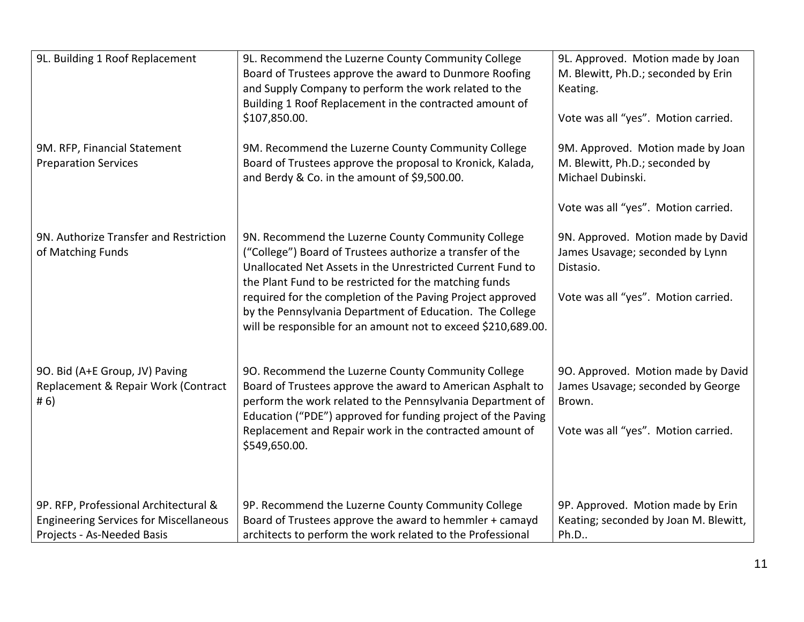| 9L. Building 1 Roof Replacement                                                                                      | 9L. Recommend the Luzerne County Community College<br>Board of Trustees approve the award to Dunmore Roofing<br>and Supply Company to perform the work related to the<br>Building 1 Roof Replacement in the contracted amount of<br>\$107,850.00.                                                                                                                                                                                  | 9L. Approved. Motion made by Joan<br>M. Blewitt, Ph.D.; seconded by Erin<br>Keating.<br>Vote was all "yes". Motion carried.     |
|----------------------------------------------------------------------------------------------------------------------|------------------------------------------------------------------------------------------------------------------------------------------------------------------------------------------------------------------------------------------------------------------------------------------------------------------------------------------------------------------------------------------------------------------------------------|---------------------------------------------------------------------------------------------------------------------------------|
| 9M. RFP, Financial Statement<br><b>Preparation Services</b>                                                          | 9M. Recommend the Luzerne County Community College<br>Board of Trustees approve the proposal to Kronick, Kalada,<br>and Berdy & Co. in the amount of \$9,500.00.                                                                                                                                                                                                                                                                   | 9M. Approved. Motion made by Joan<br>M. Blewitt, Ph.D.; seconded by<br>Michael Dubinski.<br>Vote was all "yes". Motion carried. |
| 9N. Authorize Transfer and Restriction<br>of Matching Funds                                                          | 9N. Recommend the Luzerne County Community College<br>("College") Board of Trustees authorize a transfer of the<br>Unallocated Net Assets in the Unrestricted Current Fund to<br>the Plant Fund to be restricted for the matching funds<br>required for the completion of the Paving Project approved<br>by the Pennsylvania Department of Education. The College<br>will be responsible for an amount not to exceed \$210,689.00. | 9N. Approved. Motion made by David<br>James Usavage; seconded by Lynn<br>Distasio.<br>Vote was all "yes". Motion carried.       |
| 9O. Bid (A+E Group, JV) Paving<br>Replacement & Repair Work (Contract<br># 6)                                        | 90. Recommend the Luzerne County Community College<br>Board of Trustees approve the award to American Asphalt to<br>perform the work related to the Pennsylvania Department of<br>Education ("PDE") approved for funding project of the Paving<br>Replacement and Repair work in the contracted amount of<br>\$549,650.00.                                                                                                         | 90. Approved. Motion made by David<br>James Usavage; seconded by George<br>Brown.<br>Vote was all "yes". Motion carried.        |
| 9P. RFP, Professional Architectural &<br><b>Engineering Services for Miscellaneous</b><br>Projects - As-Needed Basis | 9P. Recommend the Luzerne County Community College<br>Board of Trustees approve the award to hemmler + camayd<br>architects to perform the work related to the Professional                                                                                                                                                                                                                                                        | 9P. Approved. Motion made by Erin<br>Keating; seconded by Joan M. Blewitt,<br>Ph.D                                              |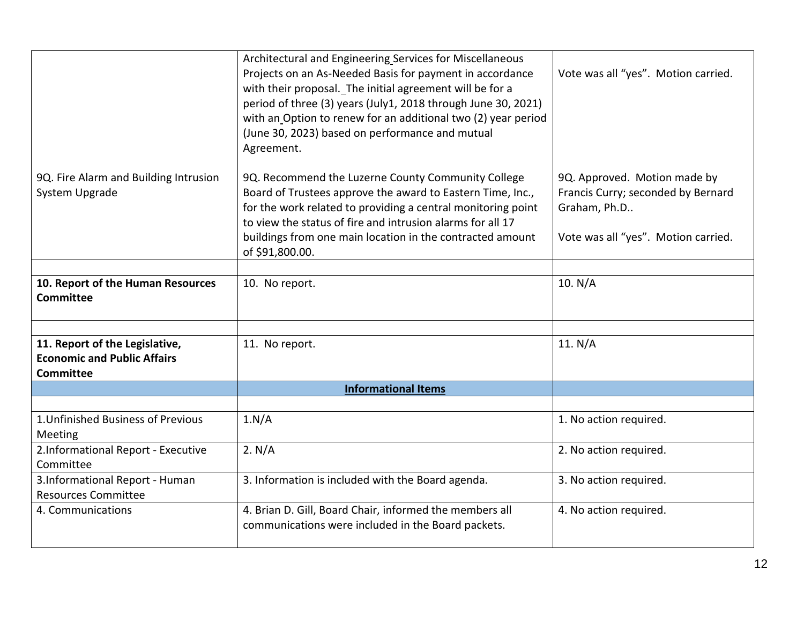|                                                                                          | Architectural and Engineering Services for Miscellaneous<br>Projects on an As-Needed Basis for payment in accordance<br>with their proposal. The initial agreement will be for a<br>period of three (3) years (July1, 2018 through June 30, 2021)<br>with an Option to renew for an additional two (2) year period<br>(June 30, 2023) based on performance and mutual<br>Agreement. | Vote was all "yes". Motion carried.                                                                                       |
|------------------------------------------------------------------------------------------|-------------------------------------------------------------------------------------------------------------------------------------------------------------------------------------------------------------------------------------------------------------------------------------------------------------------------------------------------------------------------------------|---------------------------------------------------------------------------------------------------------------------------|
| 9Q. Fire Alarm and Building Intrusion<br>System Upgrade                                  | 9Q. Recommend the Luzerne County Community College<br>Board of Trustees approve the award to Eastern Time, Inc.,<br>for the work related to providing a central monitoring point<br>to view the status of fire and intrusion alarms for all 17<br>buildings from one main location in the contracted amount<br>of \$91,800.00.                                                      | 9Q. Approved. Motion made by<br>Francis Curry; seconded by Bernard<br>Graham, Ph.D<br>Vote was all "yes". Motion carried. |
|                                                                                          |                                                                                                                                                                                                                                                                                                                                                                                     |                                                                                                                           |
| 10. Report of the Human Resources<br><b>Committee</b>                                    | 10. No report.                                                                                                                                                                                                                                                                                                                                                                      | 10. N/A                                                                                                                   |
|                                                                                          |                                                                                                                                                                                                                                                                                                                                                                                     |                                                                                                                           |
| 11. Report of the Legislative,<br><b>Economic and Public Affairs</b><br><b>Committee</b> | 11. No report.                                                                                                                                                                                                                                                                                                                                                                      | 11. $N/A$                                                                                                                 |
|                                                                                          | <b>Informational Items</b>                                                                                                                                                                                                                                                                                                                                                          |                                                                                                                           |
|                                                                                          |                                                                                                                                                                                                                                                                                                                                                                                     |                                                                                                                           |
| 1. Unfinished Business of Previous<br>Meeting                                            | 1.N/A                                                                                                                                                                                                                                                                                                                                                                               | 1. No action required.                                                                                                    |
| 2.Informational Report - Executive<br>Committee                                          | 2. N/A                                                                                                                                                                                                                                                                                                                                                                              | 2. No action required.                                                                                                    |
| 3.Informational Report - Human<br><b>Resources Committee</b>                             | 3. Information is included with the Board agenda.                                                                                                                                                                                                                                                                                                                                   | 3. No action required.                                                                                                    |
| 4. Communications                                                                        | 4. Brian D. Gill, Board Chair, informed the members all<br>communications were included in the Board packets.                                                                                                                                                                                                                                                                       | 4. No action required.                                                                                                    |